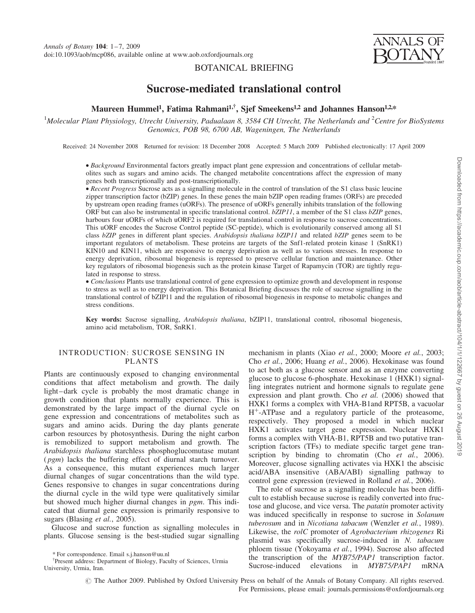

### BOTANICAL BRIEFING

# Sucrose-mediated translational control

## Maureen Hummel<sup>1</sup>, Fatima Rahmani<sup>1,†</sup>, Sjef Smeekens<sup>1,2</sup> and Johannes Hanson<sup>1,2,\*</sup>

<sup>1</sup>Molecular Plant Physiology, Utrecht University, Padualaan 8, 3584 CH Utrecht, The Netherlands and <sup>2</sup>Centre for BioSystems Genomics, POB 98, 6700 AB, Wageningen, The Netherlands

Received: 24 November 2008 Returned for revision: 18 December 2008 Accepted: 5 March 2009 Published electronically: 17 April 2009

† Background Environmental factors greatly impact plant gene expression and concentrations of cellular metabolites such as sugars and amino acids. The changed metabolite concentrations affect the expression of many genes both transcriptionally and post-transcriptionally.

• Recent Progress Sucrose acts as a signalling molecule in the control of translation of the S1 class basic leucine zipper transcription factor (bZIP) genes. In these genes the main bZIP open reading frames (ORFs) are preceded by upstream open reading frames (uORFs). The presence of uORFs generally inhibits translation of the following ORF but can also be instrumental in specific translational control. bZIP11, a member of the S1 class bZIP genes, harbours four uORFs of which uORF2 is required for translational control in response to sucrose concentrations. This uORF encodes the Sucrose Control peptide (SC-peptide), which is evolutionarily conserved among all S1 class bZIP genes in different plant species. Arabidopsis thaliana bZIP11 and related bZIP genes seem to be important regulators of metabolism. These proteins are targets of the Snf1-related protein kinase 1 (SnRK1) KIN10 and KIN11, which are responsive to energy deprivation as well as to various stresses. In response to energy deprivation, ribosomal biogenesis is repressed to preserve cellular function and maintenance. Other key regulators of ribosomal biogenesis such as the protein kinase Target of Rapamycin (TOR) are tightly regulated in response to stress.

• Conclusions Plants use translational control of gene expression to optimize growth and development in response to stress as well as to energy deprivation. This Botanical Briefing discusses the role of sucrose signalling in the translational control of bZIP11 and the regulation of ribosomal biogenesis in response to metabolic changes and stress conditions.

Key words: Sucrose signalling, Arabidopsis thaliana, bZIP11, translational control, ribosomal biogenesis, amino acid metabolism, TOR, SnRK1.

#### INTRODUCTION: SUCROSE SENSING IN PLANTS

Plants are continuously exposed to changing environmental conditions that affect metabolism and growth. The daily light – dark cycle is probably the most dramatic change in growth condition that plants normally experience. This is demonstrated by the large impact of the diurnal cycle on gene expression and concentrations of metabolites such as sugars and amino acids. During the day plants generate carbon resources by photosynthesis. During the night carbon is remobilized to support metabolism and growth. The Arabidopsis thaliana starchless phosphoglucomutase mutant (*pgm*) lacks the buffering effect of diurnal starch turnover. As a consequence, this mutant experiences much larger diurnal changes of sugar concentrations than the wild type. Genes responsive to changes in sugar concentrations during the diurnal cycle in the wild type were qualitatively similar but showed much higher diurnal changes in pgm. This indicated that diurnal gene expression is primarily responsive to sugars (Blasing et al., 2005).

Glucose and sucrose function as signalling molecules in plants. Glucose sensing is the best-studied sugar signalling mechanism in plants (Xiao et al., 2000; Moore et al., 2003; Cho et al., 2006; Huang et al., 2006). Hexokinase was found to act both as a glucose sensor and as an enzyme converting glucose to glucose 6-phosphate. Hexokinase 1 (HXK1) signalling integrates nutrient and hormone signals to regulate gene expression and plant growth. Cho et al. (2006) showed that HXK1 forms a complex with VHA-B1and RPT5B, a vacuolar  $H^+$ -ATPase and a regulatory particle of the proteasome, respectively. They proposed a model in which nuclear HXK1 activates target gene expression. Nuclear HXK1 forms a complex with VHA-B1, RPT5B and two putative transcription factors (TFs) to mediate specific target gene transcription by binding to chromatin (Cho et al., 2006). Moreover, glucose signalling activates via HXK1 the abscisic acid/ABA insensitive (ABA/ABI) signalling pathway to control gene expression (reviewed in Rolland et al., 2006).

The role of sucrose as a signalling molecule has been difficult to establish because sucrose is readily converted into fructose and glucose, and vice versa. The patatin promoter activity was induced specifically in response to sucrose in Solanum tuberosum and in Nicotiana tabacum (Wenzler et al., 1989). Likewise, the rolC promoter of Agrobacterium rhizogenes Ri plasmid was specifically sucrose-induced in N. tabacum phloem tissue (Yokoyama et al., 1994). Sucrose also affected the transcription of the MYB75/PAP1 transcription factor. <sup>†</sup>Present address: Department of Biology, Faculty of Sciences, Urmia the transcription of the *MTB75/PAP1* transcription ractor.<br>Sucrose-induced elevations in *MYB75/PAP1* mRNA

© The Author 2009. Published by Oxford University Press on behalf of the Annals of Botany Company. All rights reserved. For Permissions, please email: journals.permissions@oxfordjournals.org

<sup>\*</sup> For correspondence. Email s.j.hanson@uu.nl

University, Urmia, Iran.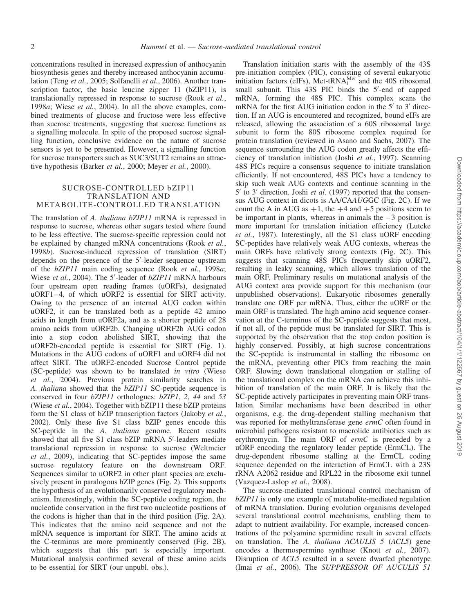concentrations resulted in increased expression of anthocyanin biosynthesis genes and thereby increased anthocyanin accumulation (Teng et al., 2005; Solfanelli et al., 2006). Another transcription factor, the basic leucine zipper 11 (bZIP11), is translationally repressed in response to sucrose (Rook et al., 1998a; Wiese et al., 2004). In all the above examples, combined treatments of glucose and fructose were less effective than sucrose treatments, suggesting that sucrose functions as a signalling molecule. In spite of the proposed sucrose signalling function, conclusive evidence on the nature of sucrose sensors is yet to be presented. However, a signalling function for sucrose transporters such as SUC3/SUT2 remains an attractive hypothesis (Barker et al., 2000; Meyer et al., 2000).

#### SUCROSE-CONTROLLED bZIP11 TRANSLATION AND METABOLITE-CONTROLLED TRANSLATION

The translation of A. thaliana bZIP11 mRNA is repressed in response to sucrose, whereas other sugars tested where found to be less effective. The sucrose-specific repression could not be explained by changed mRNA concentrations (Rook et al., 1998b). Sucrose-induced repression of translation (SIRT) depends on the presence of the 5'-leader sequence upstream of the bZIP11 main coding sequence (Rook et al., 1998a; Wiese et al., 2004). The 5'-leader of bZIP11 mRNA harbours four upstream open reading frames (uORFs), designated uORF1-4, of which uORF2 is essential for SIRT activity. Owing to the presence of an internal AUG codon within uORF2, it can be translated both as a peptide 42 amino acids in length from uORF2a, and as a shorter peptide of 28 amino acids from uORF2b. Changing uORF2b AUG codon into a stop codon abolished SIRT, showing that the uORF2b-encoded peptide is essential for SIRT (Fig. 1). Mutations in the AUG codons of uORF1 and uORF4 did not affect SIRT. The uORF2-encoded Sucrose Control peptide (SC-peptide) was shown to be translated in vitro (Wiese et al., 2004). Previous protein similarity searches in A. thaliana showed that the bZIP11 SC-peptide sequence is conserved in four  $bZIP11$  orthologues:  $bZIP1$ , 2, 44 and 53 (Wiese et al., 2004). Together with bZIP11 these bZIP proteins form the S1 class of bZIP transcription factors (Jakoby et al., 2002). Only these five S1 class bZIP genes encode this SC-peptide in the A. thaliana genome. Recent results showed that all five S1 class bZIP mRNA 5'-leaders mediate translational repression in response to sucrose (Weltmeier et al., 2009), indicating that SC-peptides impose the same sucrose regulatory feature on the downstream ORF. Sequences similar to uORF2 in other plant species are exclusively present in paralogous bZIP genes (Fig. 2). This supports the hypothesis of an evolutionarily conserved regulatory mechanism. Interestingly, within the SC-peptide coding region, the nucleotide conservation in the first two nucleotide positions of the codons is higher than that in the third position (Fig. 2A). This indicates that the amino acid sequence and not the mRNA sequence is important for SIRT. The amino acids at the C-terminus are more prominently conserved (Fig. 2B), which suggests that this part is especially important. Mutational analysis confirmed several of these amino acids to be essential for SIRT (our unpubl. obs.).

Translation initiation starts with the assembly of the 43S pre-initiation complex (PIC), consisting of several eukaryotic initiation factors (eIFs), Met-tRNA $_{i}^{Met}$  and the 40S ribosomal small subunit. This 43S PIC binds the 5'-end of capped mRNA, forming the 48S PIC. This complex scans the mRNA for the first AUG initiation codon in the  $5'$  to  $3'$  direction. If an AUG is encountered and recognized, bound eIFs are released, allowing the association of a 60S ribosomal large subunit to form the 80S ribosome complex required for protein translation (reviewed in Asano and Sachs, 2007). The sequence surrounding the AUG codon greatly affects the efficiency of translation initiation (Joshi et al., 1997). Scanning 48S PICs require a consensus sequence to initiate translation efficiently. If not encountered, 48S PICs have a tendency to skip such weak AUG contexts and continue scanning in the  $5'$  to  $3'$  direction. Joshi *et al.* (1997) reported that the consensus AUG context in dicots is AA/CAAUGGC (Fig. 2C). If we count the A in AUG as  $+1$ , the  $+4$  and  $+5$  positions seem to be important in plants, whereas in animals the  $-3$  position is more important for translation initiation efficiency (Lutcke et al., 1987). Interestingly, all the S1 class uORF encoding SC-peptides have relatively weak AUG contexts, whereas the main ORFs have relatively strong contexts (Fig. 2C). This suggests that scanning 48S PICs frequently skip uORF2, resulting in leaky scanning, which allows translation of the main ORF. Preliminary results on mutational analysis of the AUG context area provide support for this mechanism (our unpublished observations). Eukaryotic ribosomes generally translate one ORF per mRNA. Thus, either the uORF or the main ORF is translated. The high amino acid sequence conservation at the C-terminus of the SC-peptide suggests that most, if not all, of the peptide must be translated for SIRT. This is supported by the observation that the stop codon position is highly conserved. Possibly, at high sucrose concentrations the SC-peptide is instrumental in stalling the ribosome on the mRNA, preventing other PICs from reaching the main ORF. Slowing down translational elongation or stalling of the translational complex on the mRNA can achieve this inhibition of translation of the main ORF. It is likely that the SC-peptide actively participates in preventing main ORF translation. Similar mechanisms have been described in other organisms, e.g. the drug-dependent stalling mechanism that was reported for methyltransferase gene ermC often found in microbial pathogens resistant to macrolide antibiotics such as erythromycin. The main ORF of ermC is preceded by a uORF encoding the regulatory leader peptide (ErmCL). The drug-dependent ribosome stalling at the ErmCL coding sequence depended on the interaction of ErmCL with a 23S rRNA A2062 residue and RPL22 in the ribosome exit tunnel (Vazquez-Laslop et al., 2008).

The sucrose-mediated translational control mechanism of bZIP11 is only one example of metabolite-mediated regulation of mRNA translation. During evolution organisms developed several translational control mechanisms, enabling them to adapt to nutrient availability. For example, increased concentrations of the polyamine spermidine result in several effects on translation. The A. thaliana ACAULIS 5 (ACL5) gene encodes a thermospermine synthase (Knott et al., 2007). Disruption of ACL5 resulted in a severe dwarfed phenotype (Imai et al., 2006). The SUPPRESSOR OF AUCULIS 51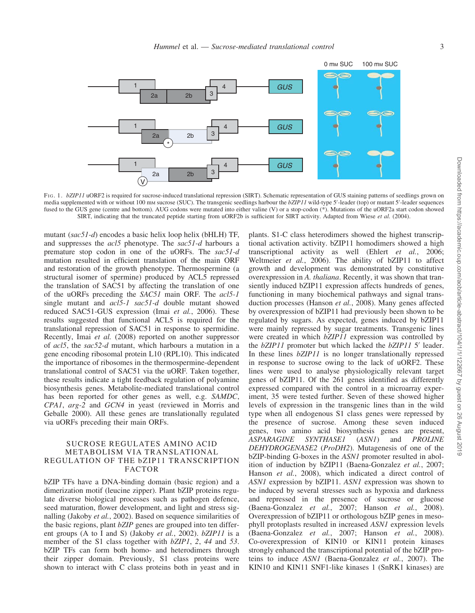

FIG. 1. bZIP11 uORF2 is required for sucrose-induced translational repression (SIRT). Schematic representation of GUS staining patterns of seedlings grown on media supplemented with or without 100 mm sucrose (SUC). The transgenic seedlings harbour the bZIP11 wild-type 5'-leader (top) or mutant 5'-leader sequences fused to the GUS gene (centre and bottom). AUG codons were mutated into either valine (V) or a stop-codon (\*). Mutations of the uORF2a start codon showed SIRT, indicating that the truncated peptide starting from uORF2b is sufficient for SIRT activity. Adapted from Wiese et al. (2004).

mutant (sac51-d) encodes a basic helix loop helix (bHLH) TF, and suppresses the *acl*5 phenotype. The sac51-d harbours a premature stop codon in one of the uORFs. The sac51-d mutation resulted in efficient translation of the main ORF and restoration of the growth phenotype. Thermospermine (a structural isomer of spermine) produced by ACL5 repressed the translation of SAC51 by affecting the translation of one of the uORFs preceding the SAC51 main ORF. The acl5-1 single mutant and acl5-1 sac51-d double mutant showed reduced SAC51-GUS expression (Imai et al., 2006). These results suggested that functional ACL5 is required for the translational repression of SAC51 in response to spermidine. Recently, Imai et al. (2008) reported on another suppressor of acl5, the sac52-d mutant, which harbours a mutation in a gene encoding ribosomal protein L10 (RPL10). This indicated the importance of ribosomes in the thermospermine-dependent translational control of SAC51 via the uORF. Taken together, these results indicate a tight feedback regulation of polyamine biosynthesis genes. Metabolite-mediated translational control has been reported for other genes as well, e.g. SAMDC, CPA1, arg-2 and GCN4 in yeast (reviewed in Morris and Geballe 2000). All these genes are translationally regulated via uORFs preceding their main ORFs.

#### SUCROSE REGULATES AMINO ACID METABOLISM VIA TRANSLATIONAL REGULATION OF THE bZIP11 TRANSCRIPTION FACTOR

bZIP TFs have a DNA-binding domain (basic region) and a dimerization motif (leucine zipper). Plant bZIP proteins regulate diverse biological processes such as pathogen defence, seed maturation, flower development, and light and stress signalling (Jakoby et al., 2002). Based on sequence similarities of the basic regions, plant bZIP genes are grouped into ten different groups (A to I and S) (Jakoby *et al.*, 2002). *bZIP11* is a member of the S1 class together with bZIP1, 2, 44 and 53. bZIP TFs can form both homo- and heterodimers through their zipper domain. Previously, S1 class proteins were shown to interact with C class proteins both in yeast and in

plants. S1-C class heterodimers showed the highest transcriptional activation activity. bZIP11 homodimers showed a high transcriptional activity as well (Ehlert et al., 2006; Weltmeier et al., 2006). The ability of bZIP11 to affect growth and development was demonstrated by constitutive overexpression in A. thaliana. Recently, it was shown that transiently induced bZIP11 expression affects hundreds of genes, functioning in many biochemical pathways and signal transduction processes (Hanson et al., 2008). Many genes affected by overexpression of bZIP11 had previously been shown to be regulated by sugars. As expected, genes induced by bZIP11 were mainly repressed by sugar treatments. Transgenic lines were created in which bZIP11 expression was controlled by the  $bZIP11$  promoter but which lacked the  $bZIP11$  5' leader. In these lines  $bZIP11$  is no longer translationally repressed in response to sucrose owing to the lack of uORF2. These lines were used to analyse physiologically relevant target genes of bZIP11. Of the 261 genes identified as differently expressed compared with the control in a microarray experiment, 35 were tested further. Seven of these showed higher levels of expression in the transgenic lines than in the wild type when all endogenous S1 class genes were repressed by the presence of sucrose. Among these seven induced genes, two amino acid biosynthesis genes are present, ASPARAGINE SYNTHASE1 (ASN1) and PROLINE DEHYDROGENASE2 (ProDH2). Mutagenesis of one of the bZIP-binding G-boxes in the ASN1 promoter resulted in abolition of induction by bZIP11 (Baena-Gonzalez et al., 2007; Hanson et al., 2008), which indicated a direct control of ASN1 expression by bZIP11. ASN1 expression was shown to be induced by several stresses such as hypoxia and darkness and repressed in the presence of sucrose or glucose (Baena-Gonzalez et al., 2007; Hanson et al., 2008). Overexpression of bZIP11 or orthologous bZIP genes in mesophyll protoplasts resulted in increased ASN1 expression levels (Baena-Gonzalez et al., 2007; Hanson et al., 2008). Co-overexpression of KIN10 or KIN11 protein kinases strongly enhanced the transcriptional potential of the bZIP proteins to induce ASN1 (Baena-Gonzalez et al., 2007). The KIN10 and KIN11 SNF1-like kinases 1 (SnRK1 kinases) are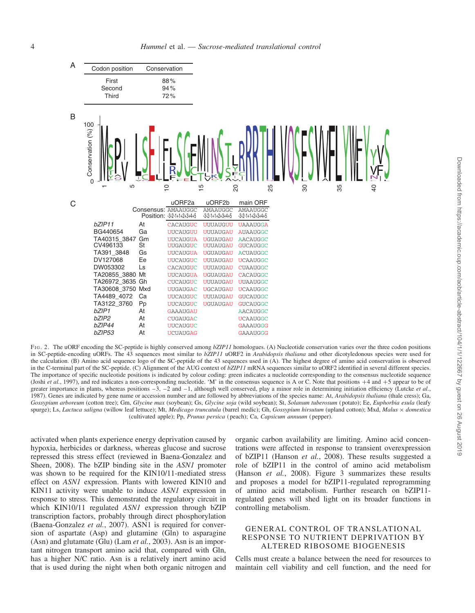

FIG. 2. The uORF encoding the SC-peptide is highly conserved among bZIP11 homologues. (A) Nucleotide conservation varies over the three codon positions in SC-peptide-encoding uORFs. The 43 sequences most similar to bZIP11 uORF2 in Arabidopsis thaliana and other dicotyledonous species were used for the calculation. (B) Amino acid sequence logo of the SC-peptide of the 43 sequences used in (A). The highest degree of amino acid conservation is observed in the C-terminal part of the SC-peptide. (C) Alignment of the AUG context of  $bZIP11$  mRNA sequences similar to uORF2 identified in several different species. The importance of specific nucleotide positions is indicated by colour coding: green indicates a nucleotide corresponding to the consensus nucleotide sequence (Joshi et al., 1997), and red indicates a non-corresponding nucleotide. 'M' in the consensus sequence is A or C. Note that positions  $+4$  and  $+5$  appear to be of greater importance in plants, whereas positions  $-3$ ,  $-2$  and  $-1$ , although well conserved, play a minor role in determining initiation efficiency (Lutcke et al., 1987). Genes are indicated by gene name or accession number and are followed by abbreviations of the species name: At, Arabidopsis thaliana (thale cress); Ga, Gossypium arboreum (cotton tree); Gm, Glycine max (soybean); Gs, Glycine soja (wild soybean); St, Solanum tuberosum (potato); Ee, Euphorbia esula (leafy spurge); Ls, Lactuca saligna (willow leaf lettuce); Mt, Medicago truncatula (barrel medic); Gh, Gossypium hirsutum (upland cotton); Mxd, Malus × domestica (cultivated apple); Pp, Prunus persica ( peach); Ca, Capsicum annuum ( pepper).

activated when plants experience energy deprivation caused by hypoxia, herbicides or darkness, whereas glucose and sucrose repressed this stress effect (reviewed in Baena-Gonzalez and Sheen, 2008). The bZIP binding site in the ASN1 promoter was shown to be required for the KIN10/11-mediated stress effect on ASN1 expression. Plants with lowered KIN10 and KIN11 activity were unable to induce ASN1 expression in response to stress. This demonstrated the regulatory circuit in which KIN10/11 regulated ASN1 expression through bZIP transcription factors, probably through direct phosphorylation (Baena-Gonzalez et al., 2007). ASN1 is required for conversion of aspartate (Asp) and glutamine (Gln) to asparagine (Asn) and glutamate (Glu) (Lam et al., 2003). Asn is an important nitrogen transport amino acid that, compared with Gln, has a higher N/C ratio. Asn is a relatively inert amino acid that is used during the night when both organic nitrogen and organic carbon availability are limiting. Amino acid concentrations were affected in response to transient overexpression of bZIP11 (Hanson et al., 2008). These results suggested a role of bZIP11 in the control of amino acid metabolism (Hanson et al., 2008). Figure 3 summarizes these results and proposes a model for bZIP11-regulated reprogramming of amino acid metabolism. Further research on bZIP11 regulated genes will shed light on its broader functions in controlling metabolism.

#### GENERAL CONTROL OF TRANSLATIONAL RESPONSE TO NUTRIENT DEPRIVATION BY ALTERED RIBOSOME BIOGENESIS

Cells must create a balance between the need for resources to maintain cell viability and cell function, and the need for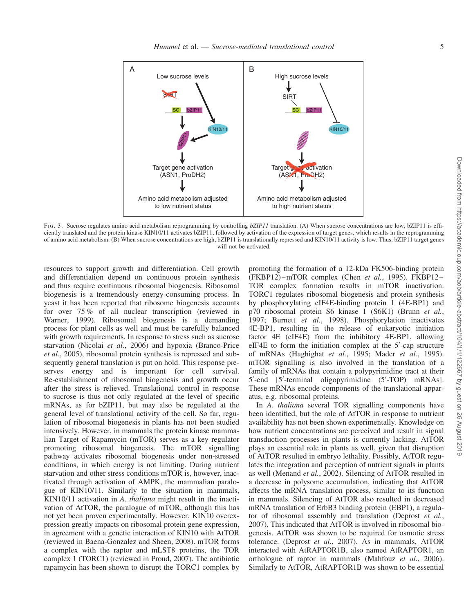

FIG. 3. Sucrose regulates amino acid metabolism reprogramming by controlling bZIP11 translation. (A) When sucrose concentrations are low, bZIP11 is efficiently translated and the protein kinase KIN10/11 activates bZIP11, followed by activation of the expression of target genes, which results in the reprogramming of amino acid metabolism. (B) When sucrose concentrations are high, bZIP11 is translationally repressed and KIN10/11 activity is low. Thus, bZIP11 target genes will not be activated.

resources to support growth and differentiation. Cell growth and differentiation depend on continuous protein synthesis and thus require continuous ribosomal biogenesis. Ribosomal biogenesis is a tremendously energy-consuming process. In yeast it has been reported that ribosome biogenesis accounts for over 75 % of all nuclear transcription (reviewed in Warner, 1999). Ribosomal biogenesis is a demanding process for plant cells as well and must be carefully balanced with growth requirements. In response to stress such as sucrose starvation (Nicolai et al., 2006) and hypoxia (Branco-Price et al., 2005), ribosomal protein synthesis is repressed and subsequently general translation is put on hold. This response preserves energy and is important for cell survival. Re-establishment of ribosomal biogenesis and growth occur after the stress is relieved. Translational control in response to sucrose is thus not only regulated at the level of specific mRNAs, as for bZIP11, but may also be regulated at the general level of translational activity of the cell. So far, regulation of ribosomal biogenesis in plants has not been studied intensively. However, in mammals the protein kinase mammalian Target of Rapamycin (mTOR) serves as a key regulator promoting ribosomal biogenesis. The mTOR signalling pathway activates ribosomal biogenesis under non-stressed conditions, in which energy is not limiting. During nutrient starvation and other stress conditions mTOR is, however, inactivated through activation of AMPK, the mammalian paralogue of KIN10/11. Similarly to the situation in mammals, KIN10/11 activation in A. thaliana might result in the inactivation of AtTOR, the paralogue of mTOR, although this has not yet been proven experimentally. However, KIN10 overexpression greatly impacts on ribosomal protein gene expression, in agreement with a genetic interaction of KIN10 with AtTOR (reviewed in Baena-Gonzalez and Sheen, 2008). mTOR forms a complex with the raptor and mLST8 proteins, the TOR complex 1 (TORC1) (reviewed in Proud, 2007). The antibiotic rapamycin has been shown to disrupt the TORC1 complex by promoting the formation of a 12-kDa FK506-binding protein (FKBP12) –mTOR complex (Chen et al., 1995). FKBP12 – TOR complex formation results in mTOR inactivation. TORC1 regulates ribosomal biogenesis and protein synthesis by phosphorylating eIF4E-binding protein 1 (4E-BP1) and p70 ribosomal protein S6 kinase 1 (S6K1) (Brunn et al., 1997; Burnett et al., 1998). Phosphorylation inactivates 4E-BP1, resulting in the release of eukaryotic initiation factor 4E (eIF4E) from the inhibitory 4E-BP1, allowing eIF4E to form the initiation complex at the 5'-cap structure of mRNAs (Haghighat et al., 1995; Mader et al., 1995). mTOR signalling is also involved in the translation of a family of mRNAs that contain a polypyrimidine tract at their 5'-end [5'-terminal oligopyrimidine (5'-TOP) mRNAs]. These mRNAs encode components of the translational apparatus, e.g. ribosomal proteins.

In A. thaliana several TOR signalling components have been identified, but the role of AtTOR in response to nutrient availability has not been shown experimentally. Knowledge on how nutrient concentrations are perceived and result in signal transduction processes in plants is currently lacking. AtTOR plays an essential role in plants as well, given that disruption of AtTOR resulted in embryo lethality. Possibly, AtTOR regulates the integration and perception of nutrient signals in plants as well (Menand et al., 2002). Silencing of AtTOR resulted in a decrease in polysome accumulation, indicating that AtTOR affects the mRNA translation process, similar to its function in mammals. Silencing of AtTOR also resulted in decreased mRNA translation of ErbB3 binding protein (EBP1), a regulator of ribosomal assembly and translation (Deprost et al., 2007). This indicated that AtTOR is involved in ribosomal biogenesis. AtTOR was shown to be required for osmotic stress tolerance. (Deprost et al., 2007). As in mammals, AtTOR interacted with AtRAPTOR1B, also named AtRAPTOR1, an orthologue of raptor in mammals (Mahfouz et al., 2006). Similarly to AtTOR, AtRAPTOR1B was shown to be essential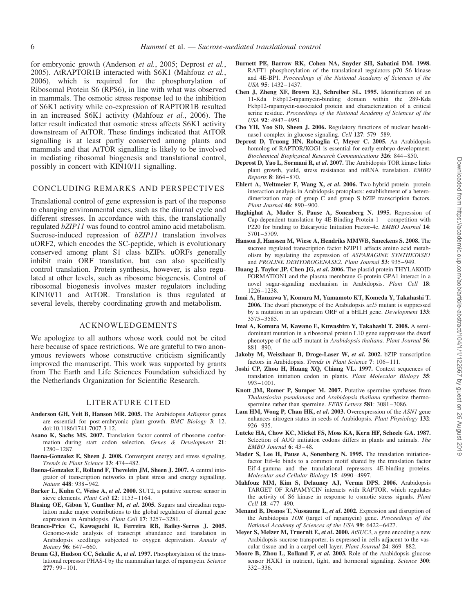for embryonic growth (Anderson et al., 2005; Deprost et al., 2005). AtRAPTOR1B interacted with S6K1 (Mahfouz et al., 2006), which is required for the phosphorylation of Ribosomal Protein S6 (RPS6), in line with what was observed in mammals. The osmotic stress response led to the inhibition of S6K1 activity while co-expression of RAPTOR1B resulted in an increased S6K1 activity (Mahfouz et al., 2006). The latter result indicated that osmotic stress affects S6K1 activity downstream of AtTOR. These findings indicated that AtTOR signalling is at least partly conserved among plants and mammals and that AtTOR signalling is likely to be involved in mediating ribosomal biogenesis and translational control, possibly in concert with KIN10/11 signalling.

#### CONCLUDING REMARKS AND PERSPECTIVES

Translational control of gene expression is part of the response to changing environmental cues, such as the diurnal cycle and different stresses. In accordance with this, the translationally regulated bZIP11 was found to control amino acid metabolism. Sucrose-induced repression of  $bZIP11$  translation involves uORF2, which encodes the SC-peptide, which is evolutionary conserved among plant S1 class bZIPs. uORFs generally inhibit main ORF translation, but can also specifically control translation. Protein synthesis, however, is also regulated at other levels, such as ribosome biogenesis. Control of ribosomal biogenesis involves master regulators including KIN10/11 and AtTOR. Translation is thus regulated at several levels, thereby coordinating growth and metabolism.

#### ACKNOWLEDGEMENTS

We apologize to all authors whose work could not be cited here because of space restrictions. We are grateful to two anonymous reviewers whose constructive criticism significantly improved the manuscript. This work was supported by grants from The Earth and Life Sciences Foundation subsidized by the Netherlands Organization for Scientific Research.

#### LITERATURE CITED

- Anderson GH, Veit B, Hanson MR. 2005. The Arabidopsis AtRaptor genes are essential for post-embryonic plant growth. BMC Biology 3: 12. doi:10.1186/1741-7007-3-12.
- Asano K, Sachs MS. 2007. Translation factor control of ribosome conformation during start codon selection. Genes & Development 21: 1280–1287.
- Baena-Gonzalez E, Sheen J. 2008. Convergent energy and stress signaling. Trends in Plant Science 13: 474– 482.
- Baena-Gonzalez E, Rolland F, Thevelein JM, Sheen J. 2007. A central integrator of transcription networks in plant stress and energy signalling. Nature 448: 938–942.
- Barker L, Kuhn C, Weise A, et al. 2000. SUT2, a putative sucrose sensor in sieve elements. Plant Cell 12: 1153-1164.
- Blasing OE, Gibon Y, Gunther M, et al. 2005. Sugars and circadian regulation make major contributions to the global regulation of diurnal gene expression in Arabidopsis. Plant Cell 17: 3257–3281.
- Branco-Price C, Kawaguchi R, Ferreira RB, Bailey-Serres J. 2005. Genome-wide analysis of transcript abundance and translation in Arabidopsis seedlings subjected to oxygen deprivation. Annals of Botany 96: 647–660.
- Brunn GJ, Hudson CC, Sekulic A, et al. 1997. Phosphorylation of the translational repressor PHAS-I by the mammalian target of rapamycin. Science 277: 99–101.
- Burnett PE, Barrow RK, Cohen NA, Snyder SH, Sabatini DM. 1998. RAFT1 phosphorylation of the translational regulators p70 S6 kinase and 4E-BP1. Proceedings of the National Academy of Sciences of the USA 95: 1432–1437.
- Chen J, Zheng XF, Brown EJ, Schreiber SL. 1995. Identification of an 11-Kda Fkbp12-rapamycin-binding domain within the 289-Kda Fkbp12-rapamycin-associated protein and characterization of a critical serine residue. Proceedings of the National Academy of Sciences of the USA 92: 4947–4951.
- Cho YH, Yoo SD, Sheen J. 2006. Regulatory functions of nuclear hexokinase1 complex in glucose signaling. Cell 127: 579-589.
- Deprost D, Truong HN, Robaglia C, Meyer C. 2005. An Arabidopsis homolog of RAPTOR/KOG1 is essential for early embryo development. Biochemical Biophysical Research Communications 326: 844–850.
- Deprost D, Yao L, Sormani R, et al. 2007. The Arabidopsis TOR kinase links plant growth, yield, stress resistance and mRNA translation. EMBO Reports 8: 864– 870.
- Ehlert A, Weltmeier F, Wang X, et al. 2006. Two-hybrid protein– protein interaction analysis in Arabidopsis protoplasts: establishment of a heterodimerization map of group C and group S bZIP transcription factors. Plant Journal 46: 890–900.
- Haghighat A, Mader S, Pause A, Sonenberg N. 1995. Repression of Cap-dependent translation by 4E-Binding Protein-1 – competition with P220 for binding to Eukaryotic Initiation Factor-4e. EMBO Journal 14: 5701–5709.
- Hanson J, Hanssen M, Wiese A, Hendriks MMWB, Smeekens S. 2008. The sucrose regulated transcription factor bZIP11 affects amino acid metabolism by regulating the expression of ASPARAGINE SYNTHETASE1 and PROLINE DEHYDROGENASE2. Plant Journal 53: 935–949.
- Huang J, Taylor JP, Chen JG, et al. 2006. The plastid protein THYLAKOID FORMATION1 and the plasma membrane G-protein GPA1 interact in a novel sugar-signaling mechanism in Arabidopsis. Plant Cell 18: 1226–1238.
- Imai A, Hanzawa Y, Komura M, Yamamoto KT, Komeda Y, Takahashi T. 2006. The dwarf phenotype of the Arabidopsis *acl5* mutant is suppressed by a mutation in an upstream ORF of a bHLH gene. Development 133: 3575–3585.
- Imai A, Komura M, Kawano E, Kuwashiro Y, Takahashi T. 2008. A semidominant mutation in a ribosomal protein L10 gene suppresses the dwarf phenotype of the acl5 mutant in Arabidopsis thaliana. Plant Journal 56: 881– 890.
- Jakoby M, Weisshaar B, Droge-Laser W, et al. 2002. bZIP transcription factors in Arabidopsis. Trends in Plant Science 7: 106–111.
- Joshi CP, Zhou H, Huang XQ, Chiang VL. 1997. Context sequences of translation initiation codon in plants. Plant Molecular Biology 35: 993– 1001.
- Knott JM, Romer P, Sumper M. 2007. Putative spermine synthases from Thalassiosira pseudonana and Arabidopsis thaliana synthesize thermospermine rather than spermine. FEBS Letters 581: 3081-3086.
- Lam HM, Wong P, Chan HK, et al. 2003. Overexpression of the ASN1 gene enhances nitrogen status in seeds of Arabidopsis. Plant Physiology 132: 926– 935.
- Lutcke HA, Chow KC, Mickel FS, Moss KA, Kern HF, Scheele GA. 1987. Selection of AUG initiation codons differs in plants and animals. The EMBO Journal 6: 43-48.
- Mader S, Lee H, Pause A, Sonenberg N. 1995. The translation initiationfactor Eif-4e binds to a common motif shared by the translation factor Eif-4-gamma and the translational repressors 4E-binding proteins. Molecular and Cellular Biology 15: 4990–4997.
- Mahfouz MM, Kim S, Delauney AJ, Verma DPS. 2006. Arabidopsis TARGET OF RAPAMYCIN interacts with RAPTOR, which regulates the activity of S6 kinase in response to osmotic stress signals. Plant Cell 18: 477-490.
- Menand B, Desnos T, Nussaume L, et al. 2002. Expression and disruption of the Arabidopsis TOR (target of rapamycin) gene. Proceedings of the National Academy of Sciences of the USA 99: 6422-6427.
- Meyer S, Melzer M, Truernit E, et al. 2000. AtSUC3, a gene encoding a new Arabidopsis sucrose transporter, is expressed in cells adjacent to the vascular tissue and in a carpel cell layer. Plant Journal 24: 869–882.
- Moore B, Zhou L, Rolland F, et al. 2003. Role of the Arabidopsis glucose sensor HXK1 in nutrient, light, and hormonal signaling. Science 300: 332– 336.